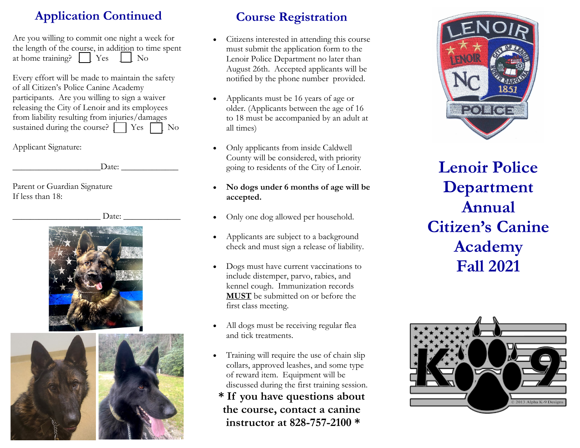# **Application Continued**

Are you willing to commit one night a week for the length of the course, in addition to time spent at home training?  $\vert$   $\vert$  Yes  $\vert$  No

Every effort will be made to maintain the safety of all Citizen's Police Canine Academy participants. Are you willing to sign a waiver releasing the City of Lenoir and its employees from liability resulting from injuries/damages sustained during the course?  $\Box$  Yes  $\Box$  No

Applicant Signature:

 $\text{Date:}$ 

Parent or Guardian Signature If less than 18:

\_\_\_\_\_\_\_\_\_\_\_\_\_\_\_\_\_\_\_\_ Date: \_\_\_\_\_\_\_\_\_\_\_\_\_





# **Course Registration**

- Citizens interested in attending this course must submit the application form to the Lenoir Police Department no later than August 26th. Accepted applicants will be notified by the phone number provided.
- Applicants must be 16 years of age or older. (Applicants between the age of 16 to 18 must be accompanied by an adult at all times)
- Only applicants from inside Caldwell County will be considered, with priority going to residents of the City of Lenoir.
- **No dogs under 6 months of age will be accepted.**
- Only one dog allowed per household.
- Applicants are subject to a background check and must sign a release of liability.
- Dogs must have current vaccinations to include distemper, parvo, rabies, and kennel cough. Immunization records **MUST** be submitted on or before the first class meeting.
- All dogs must be receiving regular flea and tick treatments.
- Training will require the use of chain slip collars, approved leashes, and some type of reward item. Equipment will be discussed during the first training session.
- **\* If you have questions about the course, contact a canine instructor at 828-757-2100 \***



**Lenoir Police Department Annual Citizen's Canine Academy Fall 2021**